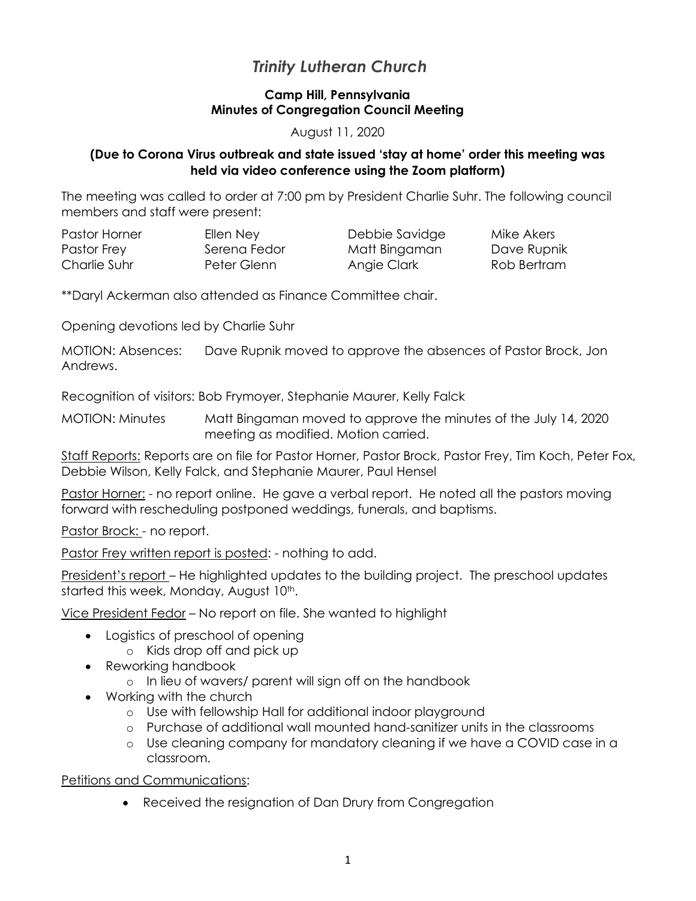# *Trinity Lutheran Church*

## **Camp Hill, Pennsylvania Minutes of Congregation Council Meeting**

#### August 11, 2020

## **(Due to Corona Virus outbreak and state issued 'stay at home' order this meeting was held via video conference using the Zoom platform)**

The meeting was called to order at 7:00 pm by President Charlie Suhr. The following council members and staff were present:

| Pastor Horner | Ellen Ney    | Debbie Savidge | Mike Akers  |
|---------------|--------------|----------------|-------------|
| Pastor Frey   | Serena Fedor | Matt Bingaman  | Dave Rupnik |
| Charlie Suhr  | Peter Glenn  | Angie Clark    | Rob Bertram |

\*\*Daryl Ackerman also attended as Finance Committee chair.

Opening devotions led by Charlie Suhr

MOTION: Absences: Dave Rupnik moved to approve the absences of Pastor Brock, Jon Andrews.

Recognition of visitors: Bob Frymoyer, Stephanie Maurer, Kelly Falck

MOTION: Minutes Matt Bingaman moved to approve the minutes of the July 14, 2020 meeting as modified. Motion carried.

Staff Reports: Reports are on file for Pastor Horner, Pastor Brock, Pastor Frey, Tim Koch, Peter Fox, Debbie Wilson, Kelly Falck, and Stephanie Maurer, Paul Hensel

Pastor Horner: - no report online. He gave a verbal report. He noted all the pastors moving forward with rescheduling postponed weddings, funerals, and baptisms.

Pastor Brock: - no report.

Pastor Frey written report is posted: - nothing to add.

President's report – He highlighted updates to the building project. The preschool updates started this week, Monday, August 10<sup>th</sup>.

Vice President Fedor – No report on file. She wanted to highlight

- Logistics of preschool of opening
	- o Kids drop off and pick up
- Reworking handbook
	- o In lieu of wavers/ parent will sign off on the handbook
- Working with the church
	- o Use with fellowship Hall for additional indoor playground
	- o Purchase of additional wall mounted hand-sanitizer units in the classrooms
	- o Use cleaning company for mandatory cleaning if we have a COVID case in a classroom.

Petitions and Communications:

• Received the resignation of Dan Drury from Congregation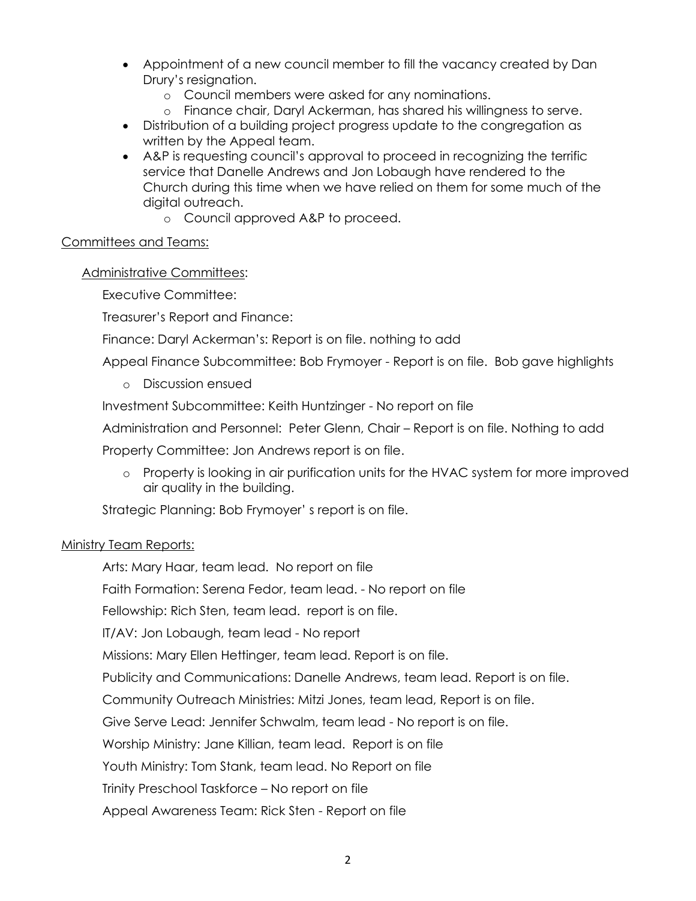- Appointment of a new council member to fill the vacancy created by Dan Drury's resignation.
	- o Council members were asked for any nominations.
	- o Finance chair, Daryl Ackerman, has shared his willingness to serve.
- Distribution of a building project progress update to the congregation as written by the Appeal team.
- A&P is requesting council's approval to proceed in recognizing the terrific service that Danelle Andrews and Jon Lobaugh have rendered to the Church during this time when we have relied on them for some much of the digital outreach.
	- o Council approved A&P to proceed.

## Committees and Teams:

## Administrative Committees:

Executive Committee:

Treasurer's Report and Finance:

Finance: Daryl Ackerman's: Report is on file. nothing to add

Appeal Finance Subcommittee: Bob Frymoyer - Report is on file. Bob gave highlights

o Discussion ensued

Investment Subcommittee: Keith Huntzinger - No report on file

Administration and Personnel: Peter Glenn, Chair – Report is on file. Nothing to add

Property Committee: Jon Andrews report is on file.

o Property is looking in air purification units for the HVAC system for more improved air quality in the building.

Strategic Planning: Bob Frymoyer' s report is on file.

## Ministry Team Reports:

Arts: Mary Haar, team lead. No report on file

Faith Formation: Serena Fedor, team lead. - No report on file

Fellowship: Rich Sten, team lead. report is on file.

IT/AV: Jon Lobaugh, team lead - No report

Missions: Mary Ellen Hettinger, team lead. Report is on file.

Publicity and Communications: Danelle Andrews, team lead. Report is on file.

Community Outreach Ministries: Mitzi Jones, team lead, Report is on file.

Give Serve Lead: Jennifer Schwalm, team lead - No report is on file.

Worship Ministry: Jane Killian, team lead. Report is on file

Youth Ministry: Tom Stank, team lead. No Report on file

Trinity Preschool Taskforce – No report on file

Appeal Awareness Team: Rick Sten - Report on file